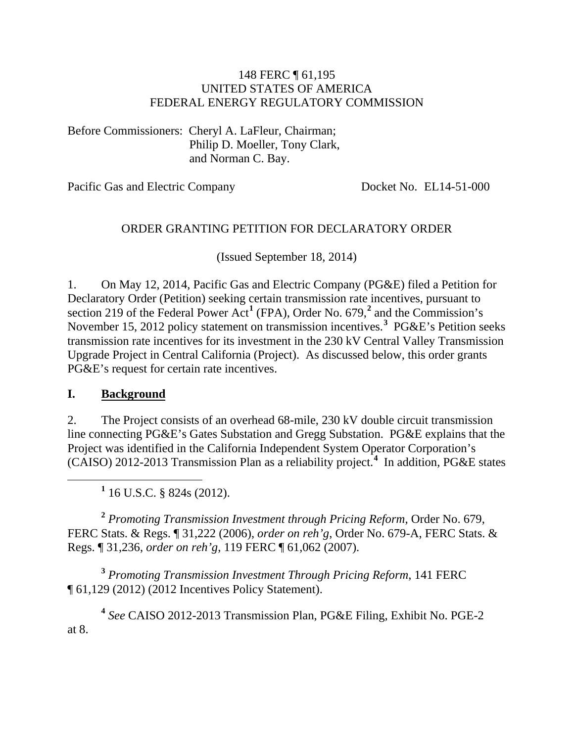#### 148 FERC ¶ 61,195 UNITED STATES OF AMERICA FEDERAL ENERGY REGULATORY COMMISSION

Before Commissioners: Cheryl A. LaFleur, Chairman; Philip D. Moeller, Tony Clark, and Norman C. Bay.

Pacific Gas and Electric Company Docket No. EL14-51-000

#### ORDER GRANTING PETITION FOR DECLARATORY ORDER

(Issued September 18, 2014)

1. On May 12, 2014, Pacific Gas and Electric Company (PG&E) filed a Petition for Declaratory Order (Petition) seeking certain transmission rate incentives, pursuant to section 2[1](#page-0-0)9 of the Federal Power Act<sup>1</sup> (FPA), Order No. 679,<sup>[2](#page-0-1)</sup> and the Commission's November 15, 2012 policy statement on transmission incentives.**[3](#page-0-2)** PG&E's Petition seeks transmission rate incentives for its investment in the 230 kV Central Valley Transmission Upgrade Project in Central California (Project). As discussed below, this order grants PG&E's request for certain rate incentives.

#### **I. Background**

2. The Project consists of an overhead 68-mile, 230 kV double circuit transmission line connecting PG&E's Gates Substation and Gregg Substation. PG&E explains that the Project was identified in the California Independent System Operator Corporation's (CAISO) 2012-2013 Transmission Plan as a reliability project.**[4](#page-0-3)** In addition, PG&E states

**<sup>1</sup>** 16 U.S.C. § 824s (2012).

<span id="page-0-1"></span><span id="page-0-0"></span>**<sup>2</sup>** *Promoting Transmission Investment through Pricing Reform*, Order No. 679, FERC Stats. & Regs. ¶ 31,222 (2006), *order on reh'g*, Order No. 679-A, FERC Stats. & Regs. ¶ 31,236, *order on reh'g*, 119 FERC ¶ 61,062 (2007).

<span id="page-0-2"></span>**<sup>3</sup>** *Promoting Transmission Investment Through Pricing Reform*, 141 FERC ¶ 61,129 (2012) (2012 Incentives Policy Statement).

<span id="page-0-3"></span>**<sup>4</sup>** *See* CAISO 2012-2013 Transmission Plan, PG&E Filing, Exhibit No. PGE-2 at 8.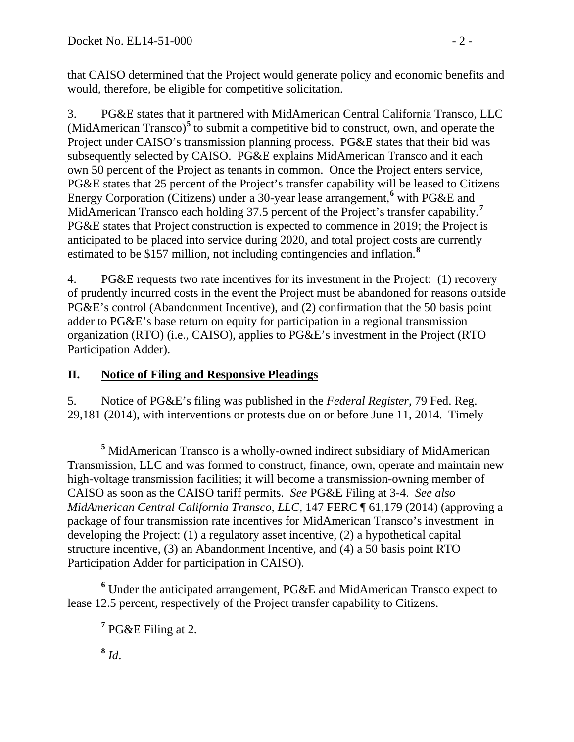that CAISO determined that the Project would generate policy and economic benefits and would, therefore, be eligible for competitive solicitation.

3. PG&E states that it partnered with MidAmerican Central California Transco, LLC (MidAmerican Transco)**[5](#page-1-0)** to submit a competitive bid to construct, own, and operate the Project under CAISO's transmission planning process. PG&E states that their bid was subsequently selected by CAISO. PG&E explains MidAmerican Transco and it each own 50 percent of the Project as tenants in common. Once the Project enters service, PG&E states that 25 percent of the Project's transfer capability will be leased to Citizens Energy Corporation (Citizens) under a 30-year lease arrangement,**[6](#page-1-1)** with PG&E and MidAmerican Transco each holding 37.5 percent of the Project's transfer capability.**[7](#page-1-2)** PG&E states that Project construction is expected to commence in 2019; the Project is anticipated to be placed into service during 2020, and total project costs are currently estimated to be \$157 million, not including contingencies and inflation.**[8](#page-1-3)**

4. PG&E requests two rate incentives for its investment in the Project: (1) recovery of prudently incurred costs in the event the Project must be abandoned for reasons outside PG&E's control (Abandonment Incentive), and (2) confirmation that the 50 basis point adder to PG&E's base return on equity for participation in a regional transmission organization (RTO) (i.e., CAISO), applies to PG&E's investment in the Project (RTO Participation Adder).

### **II. Notice of Filing and Responsive Pleadings**

5. Notice of PG&E's filing was published in the *Federal Register*, 79 Fed. Reg. 29,181 (2014), with interventions or protests due on or before June 11, 2014. Timely

<span id="page-1-3"></span><span id="page-1-2"></span><span id="page-1-1"></span>**<sup>6</sup>** Under the anticipated arrangement, PG&E and MidAmerican Transco expect to lease 12.5 percent, respectively of the Project transfer capability to Citizens.

 $\frac{8}{d}$ .

<span id="page-1-0"></span>**<sup>5</sup>** MidAmerican Transco is a wholly-owned indirect subsidiary of MidAmerican Transmission, LLC and was formed to construct, finance, own, operate and maintain new high-voltage transmission facilities; it will become a transmission-owning member of CAISO as soon as the CAISO tariff permits. *See* PG&E Filing at 3-4. *See also MidAmerican Central California Transco, LLC*, 147 FERC ¶ 61,179 (2014) (approving a package of four transmission rate incentives for MidAmerican Transco's investment in developing the Project: (1) a regulatory asset incentive, (2) a hypothetical capital structure incentive, (3) an Abandonment Incentive, and (4) a 50 basis point RTO Participation Adder for participation in CAISO).

**<sup>7</sup>** PG&E Filing at 2.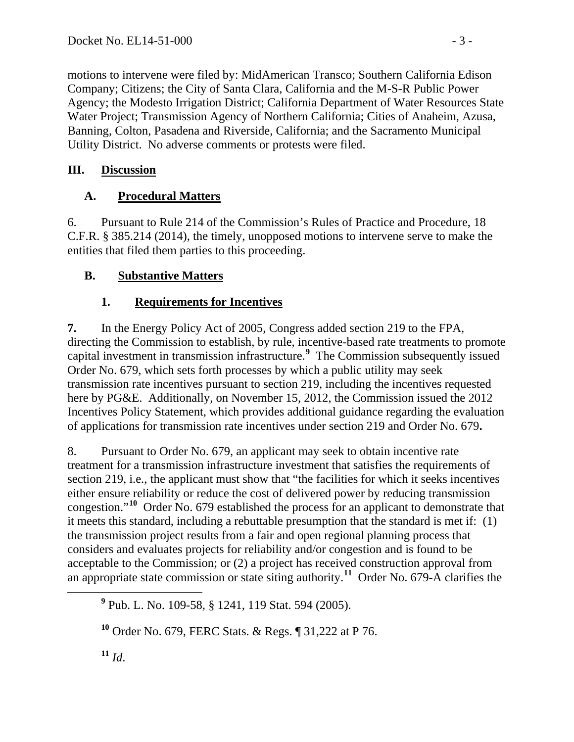motions to intervene were filed by: MidAmerican Transco; Southern California Edison Company; Citizens; the City of Santa Clara, California and the M-S-R Public Power Agency; the Modesto Irrigation District; California Department of Water Resources State Water Project; Transmission Agency of Northern California; Cities of Anaheim, Azusa, Banning, Colton, Pasadena and Riverside, California; and the Sacramento Municipal Utility District. No adverse comments or protests were filed.

#### **III. Discussion**

## **A. Procedural Matters**

6. Pursuant to Rule 214 of the Commission's Rules of Practice and Procedure, 18 C.F.R. § 385.214 (2014), the timely, unopposed motions to intervene serve to make the entities that filed them parties to this proceeding.

## **B. Substantive Matters**

# **1. Requirements for Incentives**

**7.** In the Energy Policy Act of 2005, Congress added section 219 to the FPA, directing the Commission to establish, by rule, incentive-based rate treatments to promote capital investment in transmission infrastructure.**[9](#page-2-0)** The Commission subsequently issued Order No. 679, which sets forth processes by which a public utility may seek transmission rate incentives pursuant to section 219, including the incentives requested here by PG&E. Additionally, on November 15, 2012, the Commission issued the 2012 Incentives Policy Statement, which provides additional guidance regarding the evaluation of applications for transmission rate incentives under section 219 and Order No. 679**.**

8. Pursuant to Order No. 679, an applicant may seek to obtain incentive rate treatment for a transmission infrastructure investment that satisfies the requirements of section 219, i.e., the applicant must show that "the facilities for which it seeks incentives either ensure reliability or reduce the cost of delivered power by reducing transmission congestion."**[10](#page-2-1)** Order No. 679 established the process for an applicant to demonstrate that it meets this standard, including a rebuttable presumption that the standard is met if: (1) the transmission project results from a fair and open regional planning process that considers and evaluates projects for reliability and/or congestion and is found to be acceptable to the Commission; or (2) a project has received construction approval from an appropriate state commission or state siting authority.**[11](#page-2-2)** Order No. 679-A clarifies the

<span id="page-2-0"></span>**<sup>9</sup>** Pub. L. No. 109-58, § 1241, 119 Stat. 594 (2005).

<span id="page-2-2"></span><span id="page-2-1"></span>**<sup>10</sup>** Order No. 679, FERC Stats. & Regs. ¶ 31,222 at P 76.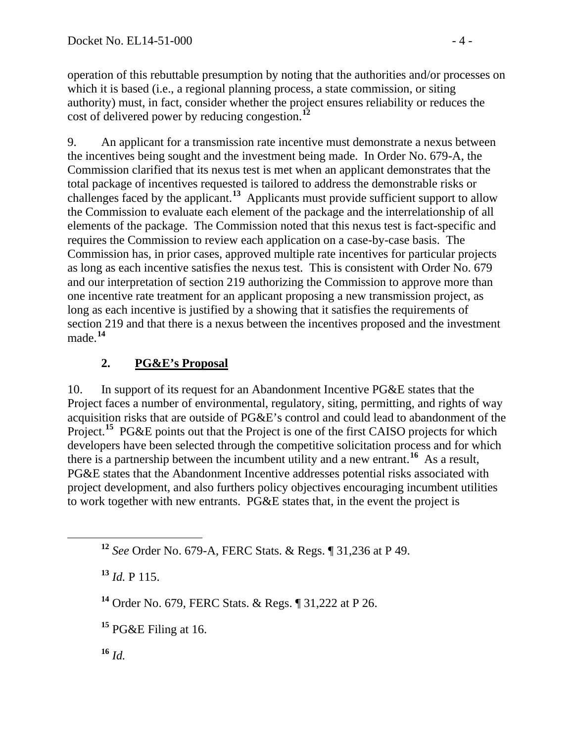operation of this rebuttable presumption by noting that the authorities and/or processes on which it is based (i.e., a regional planning process, a state commission, or siting authority) must, in fact, consider whether the project ensures reliability or reduces the cost of delivered power by reducing congestion.**[12](#page-3-0)**

9. An applicant for a transmission rate incentive must demonstrate a nexus between the incentives being sought and the investment being made. In Order No. 679-A, the Commission clarified that its nexus test is met when an applicant demonstrates that the total package of incentives requested is tailored to address the demonstrable risks or challenges faced by the applicant.**[13](#page-3-1)** Applicants must provide sufficient support to allow the Commission to evaluate each element of the package and the interrelationship of all elements of the package. The Commission noted that this nexus test is fact-specific and requires the Commission to review each application on a case-by-case basis. The Commission has, in prior cases, approved multiple rate incentives for particular projects as long as each incentive satisfies the nexus test. This is consistent with Order No. 679 and our interpretation of section 219 authorizing the Commission to approve more than one incentive rate treatment for an applicant proposing a new transmission project, as long as each incentive is justified by a showing that it satisfies the requirements of section 219 and that there is a nexus between the incentives proposed and the investment made.**[14](#page-3-2)**

### **2. PG&E's Proposal**

10. In support of its request for an Abandonment Incentive PG&E states that the Project faces a number of environmental, regulatory, siting, permitting, and rights of way acquisition risks that are outside of PG&E's control and could lead to abandonment of the Project.<sup>[15](#page-3-3)</sup> PG&E points out that the Project is one of the first CAISO projects for which developers have been selected through the competitive solicitation process and for which there is a partnership between the incumbent utility and a new entrant.**[16](#page-3-4)** As a result, PG&E states that the Abandonment Incentive addresses potential risks associated with project development, and also furthers policy objectives encouraging incumbent utilities to work together with new entrants. PG&E states that, in the event the project is

<span id="page-3-1"></span>**<sup>13</sup>** *Id.* P 115.

<span id="page-3-2"></span>**<sup>14</sup>** Order No. 679, FERC Stats. & Regs. ¶ 31,222 at P 26.

<span id="page-3-3"></span>**<sup>15</sup>** PG&E Filing at 16.

<span id="page-3-4"></span>**<sup>16</sup>** *Id.*

<span id="page-3-0"></span>**<sup>12</sup>** *See* Order No. 679-A, FERC Stats. & Regs. ¶ 31,236 at P 49.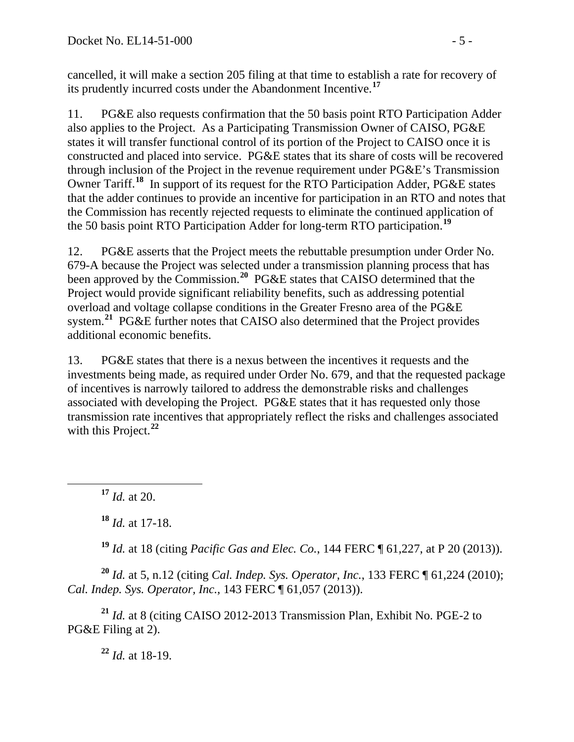cancelled, it will make a section 205 filing at that time to establish a rate for recovery of its prudently incurred costs under the Abandonment Incentive.**[17](#page-4-0)**

11. PG&E also requests confirmation that the 50 basis point RTO Participation Adder also applies to the Project. As a Participating Transmission Owner of CAISO, PG&E states it will transfer functional control of its portion of the Project to CAISO once it is constructed and placed into service. PG&E states that its share of costs will be recovered through inclusion of the Project in the revenue requirement under PG&E's Transmission Owner Tariff.**[18](#page-4-1)** In support of its request for the RTO Participation Adder, PG&E states that the adder continues to provide an incentive for participation in an RTO and notes that the Commission has recently rejected requests to eliminate the continued application of the 50 basis point RTO Participation Adder for long-term RTO participation.**[19](#page-4-2)**

12. PG&E asserts that the Project meets the rebuttable presumption under Order No. 679-A because the Project was selected under a transmission planning process that has been approved by the Commission. **[20](#page-4-3)** PG&E states that CAISO determined that the Project would provide significant reliability benefits, such as addressing potential overload and voltage collapse conditions in the Greater Fresno area of the PG&E system.<sup>[21](#page-4-4)</sup> PG&E further notes that CAISO also determined that the Project provides additional economic benefits.

13. PG&E states that there is a nexus between the incentives it requests and the investments being made, as required under Order No. 679, and that the requested package of incentives is narrowly tailored to address the demonstrable risks and challenges associated with developing the Project. PG&E states that it has requested only those transmission rate incentives that appropriately reflect the risks and challenges associated with this Project.<sup>[22](#page-4-5)</sup>

<span id="page-4-0"></span>**<sup>17</sup>** *Id.* at 20.

**<sup>18</sup>** *Id.* at 17-18.

**<sup>19</sup>** *Id.* at 18 (citing *Pacific Gas and Elec. Co.*, 144 FERC ¶ 61,227, at P 20 (2013)).

<span id="page-4-3"></span><span id="page-4-2"></span><span id="page-4-1"></span>**<sup>20</sup>** *Id.* at 5, n.12 (citing *Cal. Indep. Sys. Operator, Inc.*, 133 FERC ¶ 61,224 (2010); *Cal. Indep. Sys. Operator, Inc.*, 143 FERC ¶ 61,057 (2013)).

<span id="page-4-5"></span><span id="page-4-4"></span>**<sup>21</sup>** *Id.* at 8 (citing CAISO 2012-2013 Transmission Plan, Exhibit No. PGE-2 to PG&E Filing at 2).

**<sup>22</sup>** *Id.* at 18-19.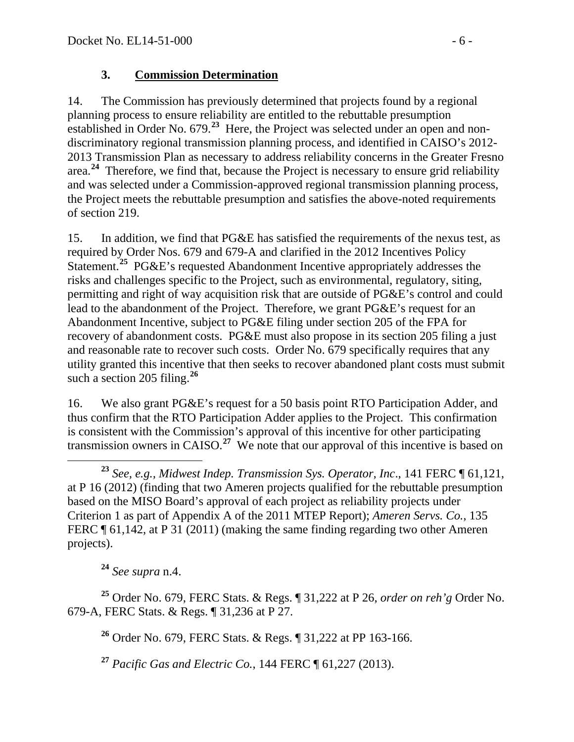#### **3. Commission Determination**

14. The Commission has previously determined that projects found by a regional planning process to ensure reliability are entitled to the rebuttable presumption established in Order No. 679.**[23](#page-5-0)** Here, the Project was selected under an open and nondiscriminatory regional transmission planning process, and identified in CAISO's 2012- 2013 Transmission Plan as necessary to address reliability concerns in the Greater Fresno area.**[24](#page-5-1)** Therefore, we find that, because the Project is necessary to ensure grid reliability and was selected under a Commission-approved regional transmission planning process, the Project meets the rebuttable presumption and satisfies the above-noted requirements of section 219.

15. In addition, we find that PG&E has satisfied the requirements of the nexus test, as required by Order Nos. 679 and 679-A and clarified in the 2012 Incentives Policy Statement.**[25](#page-5-2)** PG&E's requested Abandonment Incentive appropriately addresses the risks and challenges specific to the Project, such as environmental, regulatory, siting, permitting and right of way acquisition risk that are outside of PG&E's control and could lead to the abandonment of the Project. Therefore, we grant PG&E's request for an Abandonment Incentive, subject to PG&E filing under section 205 of the FPA for recovery of abandonment costs. PG&E must also propose in its section 205 filing a just and reasonable rate to recover such costs. Order No. 679 specifically requires that any utility granted this incentive that then seeks to recover abandoned plant costs must submit such a section 205 filing.<sup>[26](#page-5-3)</sup>

16. We also grant PG&E's request for a 50 basis point RTO Participation Adder, and thus confirm that the RTO Participation Adder applies to the Project. This confirmation is consistent with the Commission's approval of this incentive for other participating transmission owners in CAISO.**[27](#page-5-4)** We note that our approval of this incentive is based on

<span id="page-5-0"></span> **<sup>23</sup>** *See, e.g., Midwest Indep. Transmission Sys. Operator, Inc*., 141 FERC ¶ 61,121, at P 16 (2012) (finding that two Ameren projects qualified for the rebuttable presumption based on the MISO Board's approval of each project as reliability projects under Criterion 1 as part of Appendix A of the 2011 MTEP Report); *Ameren Servs. Co.*, 135 FERC ¶ 61,142, at P 31 (2011) (making the same finding regarding two other Ameren projects).

**<sup>24</sup>** *See supra* n.4.

<span id="page-5-4"></span><span id="page-5-3"></span><span id="page-5-2"></span><span id="page-5-1"></span>**<sup>25</sup>** Order No. 679, FERC Stats. & Regs. ¶ 31,222 at P 26, *order on reh'g* Order No. 679-A, FERC Stats. & Regs. ¶ 31,236 at P 27.

**<sup>26</sup>** Order No. 679, FERC Stats. & Regs. ¶ 31,222 at PP 163-166.

**<sup>27</sup>** *Pacific Gas and Electric Co.*, 144 FERC ¶ 61,227 (2013).